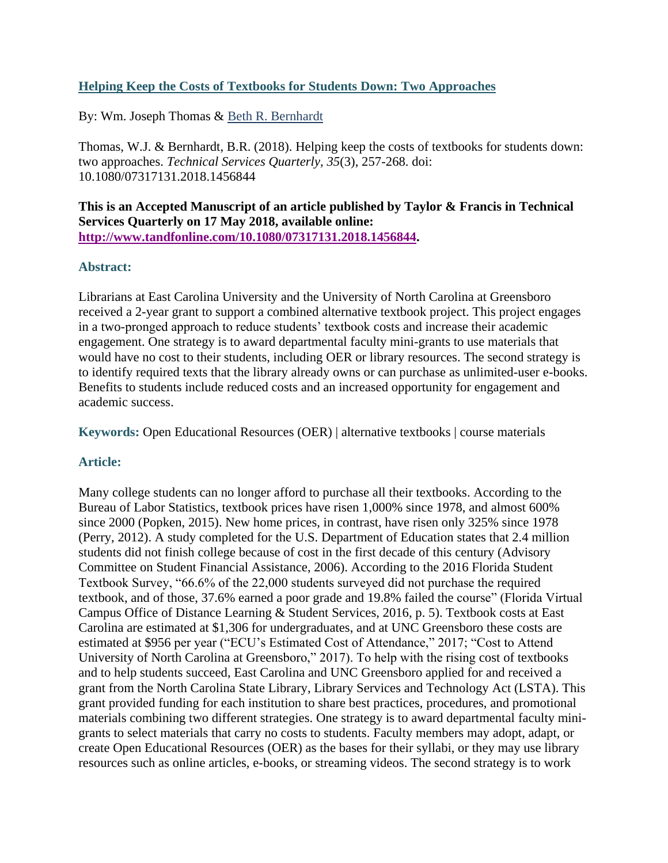# **Helping Keep the Costs of Textbooks for Students Down: Two Approaches**

By: Wm. Joseph Thomas & [Beth R. Bernhardt](http://libres.uncg.edu/ir/uncg/clist.aspx?id=58)

Thomas, W.J. & Bernhardt, B.R. (2018). Helping keep the costs of textbooks for students down: two approaches. *Technical Services Quarterly, 35*(3), 257-268. doi: 10.1080/07317131.2018.1456844

# **This is an Accepted Manuscript of an article published by Taylor & Francis in Technical Services Quarterly on 17 May 2018, available online: [http://www.tandfonline.com/10.1080/07317131.2018.1456844.](http://www.tandfonline.com/10.1080/07317131.2018.1456844)**

# **Abstract:**

Librarians at East Carolina University and the University of North Carolina at Greensboro received a 2-year grant to support a combined alternative textbook project. This project engages in a two-pronged approach to reduce students' textbook costs and increase their academic engagement. One strategy is to award departmental faculty mini-grants to use materials that would have no cost to their students, including OER or library resources. The second strategy is to identify required texts that the library already owns or can purchase as unlimited-user e-books. Benefits to students include reduced costs and an increased opportunity for engagement and academic success.

**Keywords:** Open Educational Resources (OER) | alternative textbooks | course materials

# **Article:**

Many college students can no longer afford to purchase all their textbooks. According to the Bureau of Labor Statistics, textbook prices have risen 1,000% since 1978, and almost 600% since 2000 (Popken, 2015). New home prices, in contrast, have risen only 325% since 1978 (Perry, 2012). A study completed for the U.S. Department of Education states that 2.4 million students did not finish college because of cost in the first decade of this century (Advisory Committee on Student Financial Assistance, 2006). According to the 2016 Florida Student Textbook Survey, "66.6% of the 22,000 students surveyed did not purchase the required textbook, and of those, 37.6% earned a poor grade and 19.8% failed the course" (Florida Virtual Campus Office of Distance Learning & Student Services, 2016, p. 5). Textbook costs at East Carolina are estimated at \$1,306 for undergraduates, and at UNC Greensboro these costs are estimated at \$956 per year ("ECU's Estimated Cost of Attendance," 2017; "Cost to Attend University of North Carolina at Greensboro," 2017). To help with the rising cost of textbooks and to help students succeed, East Carolina and UNC Greensboro applied for and received a grant from the North Carolina State Library, Library Services and Technology Act (LSTA). This grant provided funding for each institution to share best practices, procedures, and promotional materials combining two different strategies. One strategy is to award departmental faculty minigrants to select materials that carry no costs to students. Faculty members may adopt, adapt, or create Open Educational Resources (OER) as the bases for their syllabi, or they may use library resources such as online articles, e-books, or streaming videos. The second strategy is to work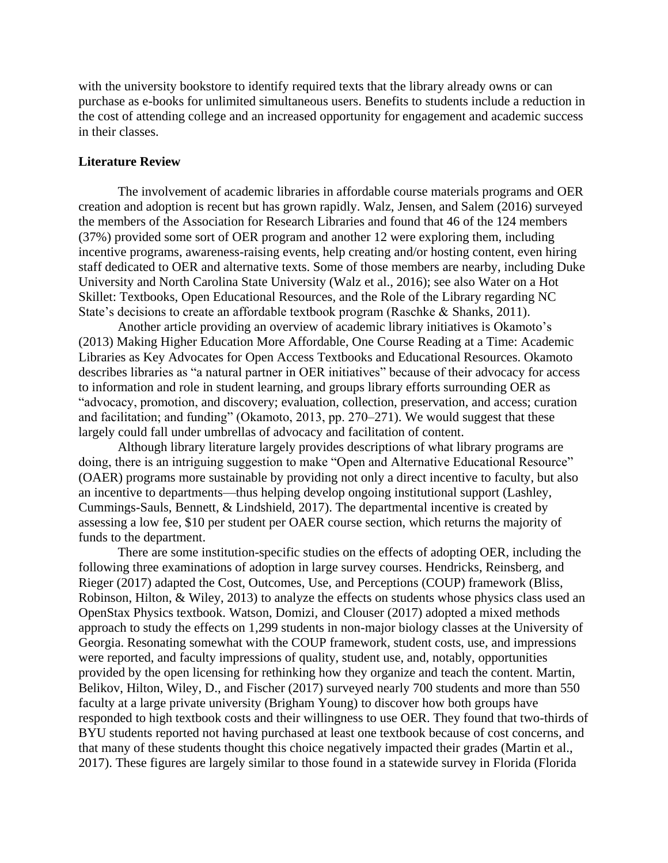with the university bookstore to identify required texts that the library already owns or can purchase as e-books for unlimited simultaneous users. Benefits to students include a reduction in the cost of attending college and an increased opportunity for engagement and academic success in their classes.

## **Literature Review**

The involvement of academic libraries in affordable course materials programs and OER creation and adoption is recent but has grown rapidly. Walz, Jensen, and Salem (2016) surveyed the members of the Association for Research Libraries and found that 46 of the 124 members (37%) provided some sort of OER program and another 12 were exploring them, including incentive programs, awareness-raising events, help creating and/or hosting content, even hiring staff dedicated to OER and alternative texts. Some of those members are nearby, including Duke University and North Carolina State University (Walz et al., 2016); see also Water on a Hot Skillet: Textbooks, Open Educational Resources, and the Role of the Library regarding NC State's decisions to create an affordable textbook program (Raschke & Shanks, 2011).

Another article providing an overview of academic library initiatives is Okamoto's (2013) Making Higher Education More Affordable, One Course Reading at a Time: Academic Libraries as Key Advocates for Open Access Textbooks and Educational Resources. Okamoto describes libraries as "a natural partner in OER initiatives" because of their advocacy for access to information and role in student learning, and groups library efforts surrounding OER as "advocacy, promotion, and discovery; evaluation, collection, preservation, and access; curation and facilitation; and funding" (Okamoto, 2013, pp. 270–271). We would suggest that these largely could fall under umbrellas of advocacy and facilitation of content.

Although library literature largely provides descriptions of what library programs are doing, there is an intriguing suggestion to make "Open and Alternative Educational Resource" (OAER) programs more sustainable by providing not only a direct incentive to faculty, but also an incentive to departments—thus helping develop ongoing institutional support (Lashley, Cummings-Sauls, Bennett, & Lindshield, 2017). The departmental incentive is created by assessing a low fee, \$10 per student per OAER course section, which returns the majority of funds to the department.

There are some institution-specific studies on the effects of adopting OER, including the following three examinations of adoption in large survey courses. Hendricks, Reinsberg, and Rieger (2017) adapted the Cost, Outcomes, Use, and Perceptions (COUP) framework (Bliss, Robinson, Hilton, & Wiley, 2013) to analyze the effects on students whose physics class used an OpenStax Physics textbook. Watson, Domizi, and Clouser (2017) adopted a mixed methods approach to study the effects on 1,299 students in non-major biology classes at the University of Georgia. Resonating somewhat with the COUP framework, student costs, use, and impressions were reported, and faculty impressions of quality, student use, and, notably, opportunities provided by the open licensing for rethinking how they organize and teach the content. Martin, Belikov, Hilton, Wiley, D., and Fischer (2017) surveyed nearly 700 students and more than 550 faculty at a large private university (Brigham Young) to discover how both groups have responded to high textbook costs and their willingness to use OER. They found that two-thirds of BYU students reported not having purchased at least one textbook because of cost concerns, and that many of these students thought this choice negatively impacted their grades (Martin et al., 2017). These figures are largely similar to those found in a statewide survey in Florida (Florida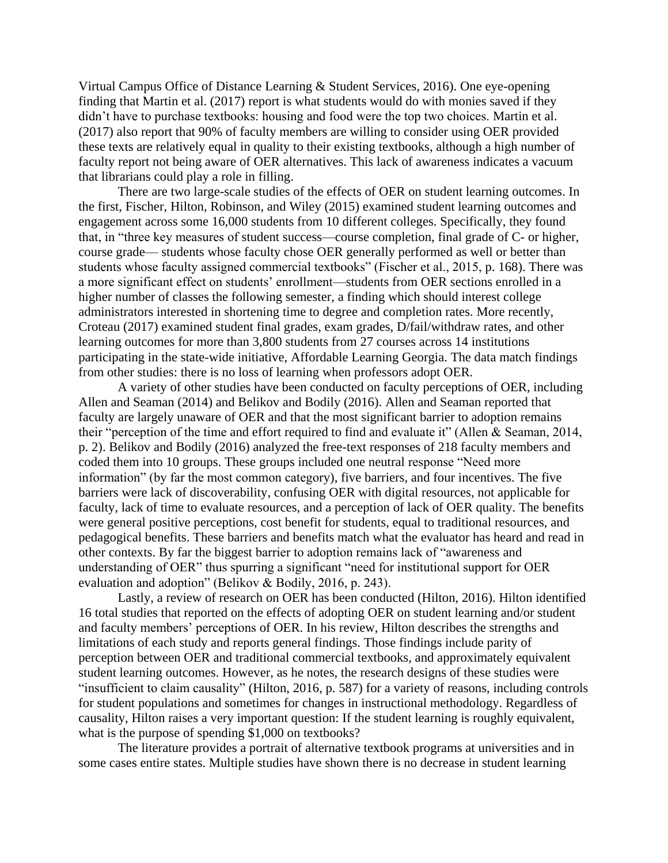Virtual Campus Office of Distance Learning & Student Services, 2016). One eye-opening finding that Martin et al. (2017) report is what students would do with monies saved if they didn't have to purchase textbooks: housing and food were the top two choices. Martin et al. (2017) also report that 90% of faculty members are willing to consider using OER provided these texts are relatively equal in quality to their existing textbooks, although a high number of faculty report not being aware of OER alternatives. This lack of awareness indicates a vacuum that librarians could play a role in filling.

There are two large-scale studies of the effects of OER on student learning outcomes. In the first, Fischer, Hilton, Robinson, and Wiley (2015) examined student learning outcomes and engagement across some 16,000 students from 10 different colleges. Specifically, they found that, in "three key measures of student success—course completion, final grade of C- or higher, course grade— students whose faculty chose OER generally performed as well or better than students whose faculty assigned commercial textbooks" (Fischer et al., 2015, p. 168). There was a more significant effect on students' enrollment—students from OER sections enrolled in a higher number of classes the following semester, a finding which should interest college administrators interested in shortening time to degree and completion rates. More recently, Croteau (2017) examined student final grades, exam grades, D/fail/withdraw rates, and other learning outcomes for more than 3,800 students from 27 courses across 14 institutions participating in the state-wide initiative, Affordable Learning Georgia. The data match findings from other studies: there is no loss of learning when professors adopt OER.

A variety of other studies have been conducted on faculty perceptions of OER, including Allen and Seaman (2014) and Belikov and Bodily (2016). Allen and Seaman reported that faculty are largely unaware of OER and that the most significant barrier to adoption remains their "perception of the time and effort required to find and evaluate it" (Allen & Seaman, 2014, p. 2). Belikov and Bodily (2016) analyzed the free-text responses of 218 faculty members and coded them into 10 groups. These groups included one neutral response "Need more information" (by far the most common category), five barriers, and four incentives. The five barriers were lack of discoverability, confusing OER with digital resources, not applicable for faculty, lack of time to evaluate resources, and a perception of lack of OER quality. The benefits were general positive perceptions, cost benefit for students, equal to traditional resources, and pedagogical benefits. These barriers and benefits match what the evaluator has heard and read in other contexts. By far the biggest barrier to adoption remains lack of "awareness and understanding of OER" thus spurring a significant "need for institutional support for OER evaluation and adoption" (Belikov & Bodily, 2016, p. 243).

Lastly, a review of research on OER has been conducted (Hilton, 2016). Hilton identified 16 total studies that reported on the effects of adopting OER on student learning and/or student and faculty members' perceptions of OER. In his review, Hilton describes the strengths and limitations of each study and reports general findings. Those findings include parity of perception between OER and traditional commercial textbooks, and approximately equivalent student learning outcomes. However, as he notes, the research designs of these studies were "insufficient to claim causality" (Hilton, 2016, p. 587) for a variety of reasons, including controls for student populations and sometimes for changes in instructional methodology. Regardless of causality, Hilton raises a very important question: If the student learning is roughly equivalent, what is the purpose of spending \$1,000 on textbooks?

The literature provides a portrait of alternative textbook programs at universities and in some cases entire states. Multiple studies have shown there is no decrease in student learning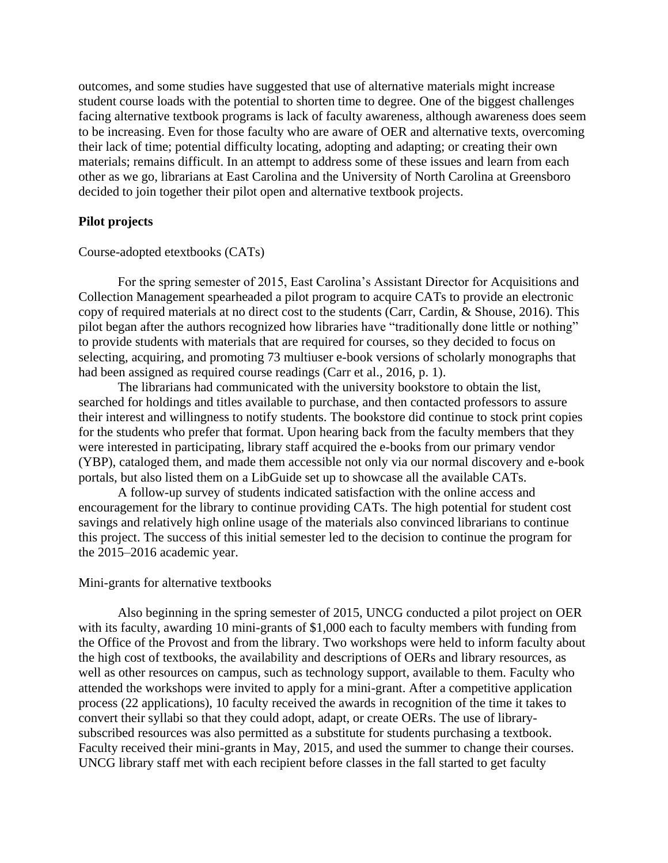outcomes, and some studies have suggested that use of alternative materials might increase student course loads with the potential to shorten time to degree. One of the biggest challenges facing alternative textbook programs is lack of faculty awareness, although awareness does seem to be increasing. Even for those faculty who are aware of OER and alternative texts, overcoming their lack of time; potential difficulty locating, adopting and adapting; or creating their own materials; remains difficult. In an attempt to address some of these issues and learn from each other as we go, librarians at East Carolina and the University of North Carolina at Greensboro decided to join together their pilot open and alternative textbook projects.

### **Pilot projects**

#### Course-adopted etextbooks (CATs)

For the spring semester of 2015, East Carolina's Assistant Director for Acquisitions and Collection Management spearheaded a pilot program to acquire CATs to provide an electronic copy of required materials at no direct cost to the students (Carr, Cardin, & Shouse, 2016). This pilot began after the authors recognized how libraries have "traditionally done little or nothing" to provide students with materials that are required for courses, so they decided to focus on selecting, acquiring, and promoting 73 multiuser e-book versions of scholarly monographs that had been assigned as required course readings (Carr et al., 2016, p. 1).

The librarians had communicated with the university bookstore to obtain the list, searched for holdings and titles available to purchase, and then contacted professors to assure their interest and willingness to notify students. The bookstore did continue to stock print copies for the students who prefer that format. Upon hearing back from the faculty members that they were interested in participating, library staff acquired the e-books from our primary vendor (YBP), cataloged them, and made them accessible not only via our normal discovery and e-book portals, but also listed them on a LibGuide set up to showcase all the available CATs.

A follow-up survey of students indicated satisfaction with the online access and encouragement for the library to continue providing CATs. The high potential for student cost savings and relatively high online usage of the materials also convinced librarians to continue this project. The success of this initial semester led to the decision to continue the program for the 2015–2016 academic year.

#### Mini-grants for alternative textbooks

Also beginning in the spring semester of 2015, UNCG conducted a pilot project on OER with its faculty, awarding 10 mini-grants of \$1,000 each to faculty members with funding from the Office of the Provost and from the library. Two workshops were held to inform faculty about the high cost of textbooks, the availability and descriptions of OERs and library resources, as well as other resources on campus, such as technology support, available to them. Faculty who attended the workshops were invited to apply for a mini-grant. After a competitive application process (22 applications), 10 faculty received the awards in recognition of the time it takes to convert their syllabi so that they could adopt, adapt, or create OERs. The use of librarysubscribed resources was also permitted as a substitute for students purchasing a textbook. Faculty received their mini-grants in May, 2015, and used the summer to change their courses. UNCG library staff met with each recipient before classes in the fall started to get faculty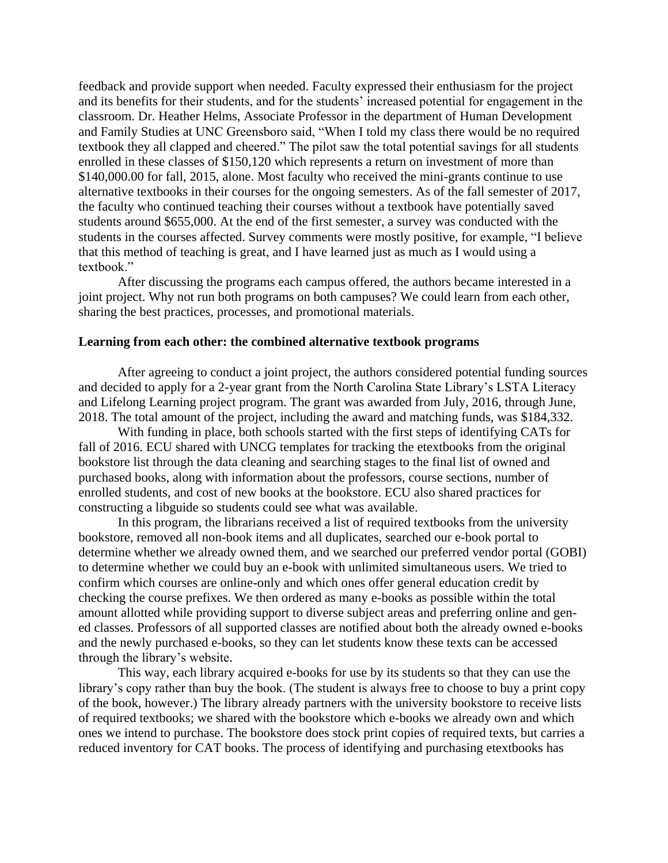feedback and provide support when needed. Faculty expressed their enthusiasm for the project and its benefits for their students, and for the students' increased potential for engagement in the classroom. Dr. Heather Helms, Associate Professor in the department of Human Development and Family Studies at UNC Greensboro said, "When I told my class there would be no required textbook they all clapped and cheered." The pilot saw the total potential savings for all students enrolled in these classes of \$150,120 which represents a return on investment of more than \$140,000.00 for fall, 2015, alone. Most faculty who received the mini-grants continue to use alternative textbooks in their courses for the ongoing semesters. As of the fall semester of 2017, the faculty who continued teaching their courses without a textbook have potentially saved students around \$655,000. At the end of the first semester, a survey was conducted with the students in the courses affected. Survey comments were mostly positive, for example, "I believe that this method of teaching is great, and I have learned just as much as I would using a textbook."

After discussing the programs each campus offered, the authors became interested in a joint project. Why not run both programs on both campuses? We could learn from each other, sharing the best practices, processes, and promotional materials.

#### **Learning from each other: the combined alternative textbook programs**

After agreeing to conduct a joint project, the authors considered potential funding sources and decided to apply for a 2-year grant from the North Carolina State Library's LSTA Literacy and Lifelong Learning project program. The grant was awarded from July, 2016, through June, 2018. The total amount of the project, including the award and matching funds, was \$184,332.

With funding in place, both schools started with the first steps of identifying CATs for fall of 2016. ECU shared with UNCG templates for tracking the etextbooks from the original bookstore list through the data cleaning and searching stages to the final list of owned and purchased books, along with information about the professors, course sections, number of enrolled students, and cost of new books at the bookstore. ECU also shared practices for constructing a libguide so students could see what was available.

In this program, the librarians received a list of required textbooks from the university bookstore, removed all non-book items and all duplicates, searched our e-book portal to determine whether we already owned them, and we searched our preferred vendor portal (GOBI) to determine whether we could buy an e-book with unlimited simultaneous users. We tried to confirm which courses are online-only and which ones offer general education credit by checking the course prefixes. We then ordered as many e-books as possible within the total amount allotted while providing support to diverse subject areas and preferring online and gened classes. Professors of all supported classes are notified about both the already owned e-books and the newly purchased e-books, so they can let students know these texts can be accessed through the library's website.

This way, each library acquired e-books for use by its students so that they can use the library's copy rather than buy the book. (The student is always free to choose to buy a print copy of the book, however.) The library already partners with the university bookstore to receive lists of required textbooks; we shared with the bookstore which e-books we already own and which ones we intend to purchase. The bookstore does stock print copies of required texts, but carries a reduced inventory for CAT books. The process of identifying and purchasing etextbooks has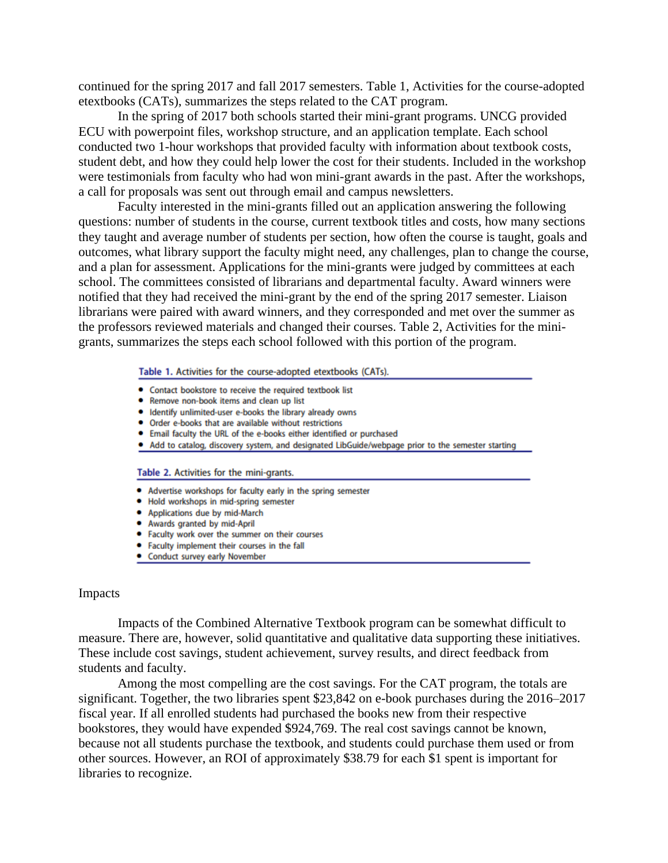continued for the spring 2017 and fall 2017 semesters. Table 1, Activities for the course-adopted etextbooks (CATs), summarizes the steps related to the CAT program.

In the spring of 2017 both schools started their mini-grant programs. UNCG provided ECU with powerpoint files, workshop structure, and an application template. Each school conducted two 1-hour workshops that provided faculty with information about textbook costs, student debt, and how they could help lower the cost for their students. Included in the workshop were testimonials from faculty who had won mini-grant awards in the past. After the workshops, a call for proposals was sent out through email and campus newsletters.

Faculty interested in the mini-grants filled out an application answering the following questions: number of students in the course, current textbook titles and costs, how many sections they taught and average number of students per section, how often the course is taught, goals and outcomes, what library support the faculty might need, any challenges, plan to change the course, and a plan for assessment. Applications for the mini-grants were judged by committees at each school. The committees consisted of librarians and departmental faculty. Award winners were notified that they had received the mini-grant by the end of the spring 2017 semester. Liaison librarians were paired with award winners, and they corresponded and met over the summer as the professors reviewed materials and changed their courses. Table 2, Activities for the minigrants, summarizes the steps each school followed with this portion of the program.

Table 1. Activities for the course-adopted etextbooks (CATs).

- Contact bookstore to receive the required textbook list
- Remove non-book items and clean up list
- · Identify unlimited-user e-books the library already owns
- Order e-books that are available without restrictions
- . Email faculty the URL of the e-books either identified or purchased
- . Add to catalog, discovery system, and designated LibGuide/webpage prior to the semester starting

Table 2. Activities for the mini-grants.

- Advertise workshops for faculty early in the spring semester
- . Hold workshops in mid-spring semester
- Applications due by mid-March
- Awards granted by mid-April
- . Faculty work over the summer on their courses
- Faculty implement their courses in the fall
- Conduct survey early November

#### Impacts

Impacts of the Combined Alternative Textbook program can be somewhat difficult to measure. There are, however, solid quantitative and qualitative data supporting these initiatives. These include cost savings, student achievement, survey results, and direct feedback from students and faculty.

Among the most compelling are the cost savings. For the CAT program, the totals are significant. Together, the two libraries spent \$23,842 on e-book purchases during the 2016–2017 fiscal year. If all enrolled students had purchased the books new from their respective bookstores, they would have expended \$924,769. The real cost savings cannot be known, because not all students purchase the textbook, and students could purchase them used or from other sources. However, an ROI of approximately \$38.79 for each \$1 spent is important for libraries to recognize.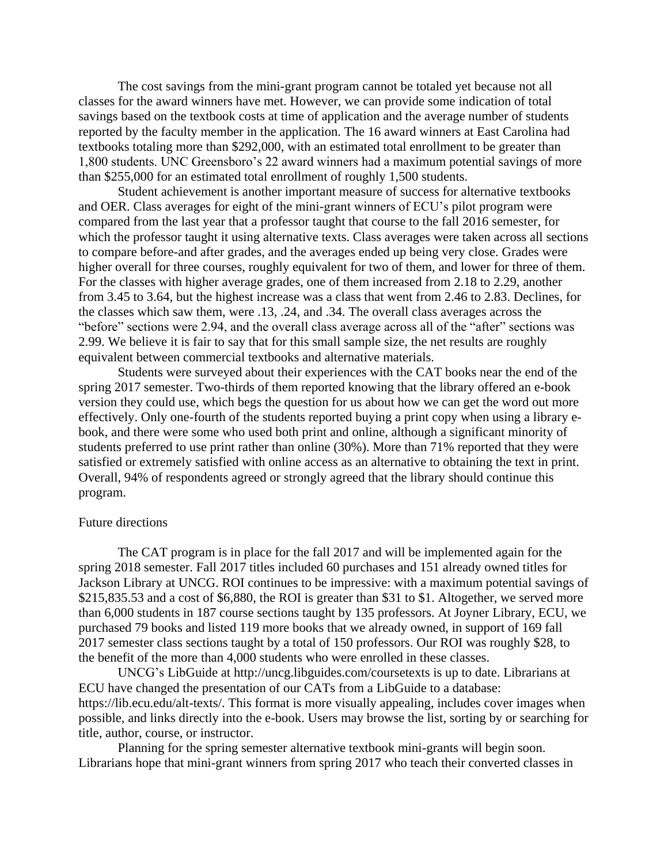The cost savings from the mini-grant program cannot be totaled yet because not all classes for the award winners have met. However, we can provide some indication of total savings based on the textbook costs at time of application and the average number of students reported by the faculty member in the application. The 16 award winners at East Carolina had textbooks totaling more than \$292,000, with an estimated total enrollment to be greater than 1,800 students. UNC Greensboro's 22 award winners had a maximum potential savings of more than \$255,000 for an estimated total enrollment of roughly 1,500 students.

Student achievement is another important measure of success for alternative textbooks and OER. Class averages for eight of the mini-grant winners of ECU's pilot program were compared from the last year that a professor taught that course to the fall 2016 semester, for which the professor taught it using alternative texts. Class averages were taken across all sections to compare before-and after grades, and the averages ended up being very close. Grades were higher overall for three courses, roughly equivalent for two of them, and lower for three of them. For the classes with higher average grades, one of them increased from 2.18 to 2.29, another from 3.45 to 3.64, but the highest increase was a class that went from 2.46 to 2.83. Declines, for the classes which saw them, were .13, .24, and .34. The overall class averages across the "before" sections were 2.94, and the overall class average across all of the "after" sections was 2.99. We believe it is fair to say that for this small sample size, the net results are roughly equivalent between commercial textbooks and alternative materials.

Students were surveyed about their experiences with the CAT books near the end of the spring 2017 semester. Two-thirds of them reported knowing that the library offered an e-book version they could use, which begs the question for us about how we can get the word out more effectively. Only one-fourth of the students reported buying a print copy when using a library ebook, and there were some who used both print and online, although a significant minority of students preferred to use print rather than online (30%). More than 71% reported that they were satisfied or extremely satisfied with online access as an alternative to obtaining the text in print. Overall, 94% of respondents agreed or strongly agreed that the library should continue this program.

## Future directions

The CAT program is in place for the fall 2017 and will be implemented again for the spring 2018 semester. Fall 2017 titles included 60 purchases and 151 already owned titles for Jackson Library at UNCG. ROI continues to be impressive: with a maximum potential savings of \$215,835.53 and a cost of \$6,880, the ROI is greater than \$31 to \$1. Altogether, we served more than 6,000 students in 187 course sections taught by 135 professors. At Joyner Library, ECU, we purchased 79 books and listed 119 more books that we already owned, in support of 169 fall 2017 semester class sections taught by a total of 150 professors. Our ROI was roughly \$28, to the benefit of the more than 4,000 students who were enrolled in these classes.

UNCG's LibGuide at http://uncg.libguides.com/coursetexts is up to date. Librarians at ECU have changed the presentation of our CATs from a LibGuide to a database: https://lib.ecu.edu/alt-texts/. This format is more visually appealing, includes cover images when possible, and links directly into the e-book. Users may browse the list, sorting by or searching for title, author, course, or instructor.

Planning for the spring semester alternative textbook mini-grants will begin soon. Librarians hope that mini-grant winners from spring 2017 who teach their converted classes in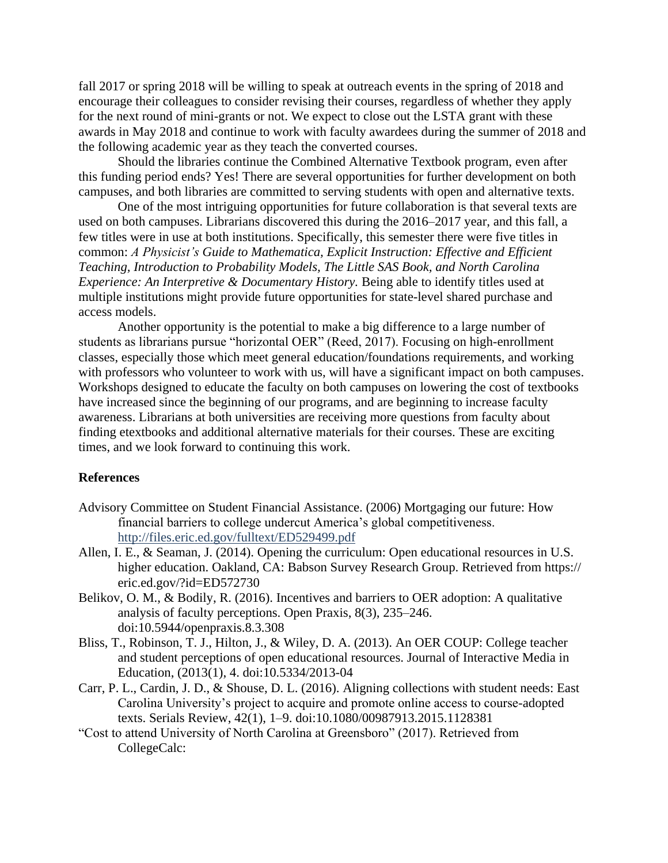fall 2017 or spring 2018 will be willing to speak at outreach events in the spring of 2018 and encourage their colleagues to consider revising their courses, regardless of whether they apply for the next round of mini-grants or not. We expect to close out the LSTA grant with these awards in May 2018 and continue to work with faculty awardees during the summer of 2018 and the following academic year as they teach the converted courses.

Should the libraries continue the Combined Alternative Textbook program, even after this funding period ends? Yes! There are several opportunities for further development on both campuses, and both libraries are committed to serving students with open and alternative texts.

One of the most intriguing opportunities for future collaboration is that several texts are used on both campuses. Librarians discovered this during the 2016–2017 year, and this fall, a few titles were in use at both institutions. Specifically, this semester there were five titles in common: *A Physicist's Guide to Mathematica, Explicit Instruction: Effective and Efficient Teaching, Introduction to Probability Models, The Little SAS Book, and North Carolina Experience: An Interpretive & Documentary History.* Being able to identify titles used at multiple institutions might provide future opportunities for state-level shared purchase and access models.

Another opportunity is the potential to make a big difference to a large number of students as librarians pursue "horizontal OER" (Reed, 2017). Focusing on high-enrollment classes, especially those which meet general education/foundations requirements, and working with professors who volunteer to work with us, will have a significant impact on both campuses. Workshops designed to educate the faculty on both campuses on lowering the cost of textbooks have increased since the beginning of our programs, and are beginning to increase faculty awareness. Librarians at both universities are receiving more questions from faculty about finding etextbooks and additional alternative materials for their courses. These are exciting times, and we look forward to continuing this work.

## **References**

- Advisory Committee on Student Financial Assistance. (2006) Mortgaging our future: How financial barriers to college undercut America's global competitiveness. <http://files.eric.ed.gov/fulltext/ED529499.pdf>
- Allen, I. E., & Seaman, J. (2014). Opening the curriculum: Open educational resources in U.S. higher education. Oakland, CA: Babson Survey Research Group. Retrieved from https:// eric.ed.gov/?id=ED572730
- Belikov, O. M., & Bodily, R. (2016). Incentives and barriers to OER adoption: A qualitative analysis of faculty perceptions. Open Praxis, 8(3), 235–246. doi:10.5944/openpraxis.8.3.308
- Bliss, T., Robinson, T. J., Hilton, J., & Wiley, D. A. (2013). An OER COUP: College teacher and student perceptions of open educational resources. Journal of Interactive Media in Education, (2013(1), 4. doi:10.5334/2013-04
- Carr, P. L., Cardin, J. D., & Shouse, D. L. (2016). Aligning collections with student needs: East Carolina University's project to acquire and promote online access to course-adopted texts. Serials Review, 42(1), 1–9. doi:10.1080/00987913.2015.1128381
- "Cost to attend University of North Carolina at Greensboro" (2017). Retrieved from CollegeCalc: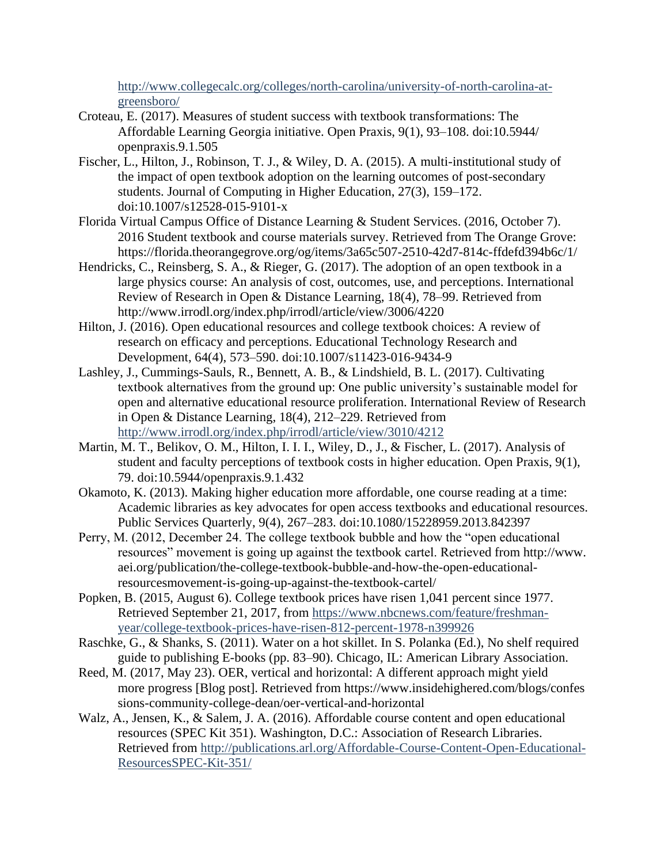[http://www.collegecalc.org/colleges/north-carolina/university-of-north-carolina-at](http://www.collegecalc.org/colleges/north-carolina/university-of-north-carolina-at-greensboro/)[greensboro/](http://www.collegecalc.org/colleges/north-carolina/university-of-north-carolina-at-greensboro/)

- Croteau, E. (2017). Measures of student success with textbook transformations: The Affordable Learning Georgia initiative. Open Praxis, 9(1), 93–108. doi:10.5944/ openpraxis.9.1.505
- Fischer, L., Hilton, J., Robinson, T. J., & Wiley, D. A. (2015). A multi-institutional study of the impact of open textbook adoption on the learning outcomes of post-secondary students. Journal of Computing in Higher Education, 27(3), 159–172. doi:10.1007/s12528-015-9101-x
- Florida Virtual Campus Office of Distance Learning & Student Services. (2016, October 7). 2016 Student textbook and course materials survey. Retrieved from The Orange Grove: https://florida.theorangegrove.org/og/items/3a65c507-2510-42d7-814c-ffdefd394b6c/1/
- Hendricks, C., Reinsberg, S. A., & Rieger, G. (2017). The adoption of an open textbook in a large physics course: An analysis of cost, outcomes, use, and perceptions. International Review of Research in Open & Distance Learning, 18(4), 78–99. Retrieved from http://www.irrodl.org/index.php/irrodl/article/view/3006/4220
- Hilton, J. (2016). Open educational resources and college textbook choices: A review of research on efficacy and perceptions. Educational Technology Research and Development, 64(4), 573–590. doi:10.1007/s11423-016-9434-9
- Lashley, J., Cummings-Sauls, R., Bennett, A. B., & Lindshield, B. L. (2017). Cultivating textbook alternatives from the ground up: One public university's sustainable model for open and alternative educational resource proliferation. International Review of Research in Open & Distance Learning, 18(4), 212–229. Retrieved from <http://www.irrodl.org/index.php/irrodl/article/view/3010/4212>
- Martin, M. T., Belikov, O. M., Hilton, I. I. I., Wiley, D., J., & Fischer, L. (2017). Analysis of student and faculty perceptions of textbook costs in higher education. Open Praxis, 9(1), 79. doi:10.5944/openpraxis.9.1.432
- Okamoto, K. (2013). Making higher education more affordable, one course reading at a time: Academic libraries as key advocates for open access textbooks and educational resources. Public Services Quarterly, 9(4), 267–283. doi:10.1080/15228959.2013.842397
- Perry, M. (2012, December 24. The college textbook bubble and how the "open educational resources" movement is going up against the textbook cartel. Retrieved from http://www. aei.org/publication/the-college-textbook-bubble-and-how-the-open-educationalresourcesmovement-is-going-up-against-the-textbook-cartel/
- Popken, B. (2015, August 6). College textbook prices have risen 1,041 percent since 1977. Retrieved September 21, 2017, from [https://www.nbcnews.com/feature/freshman](https://www.nbcnews.com/feature/freshman-year/college-textbook-prices-have-risen-812-percent-1978-n399926)[year/college-textbook-prices-have-risen-812-percent-1978-n399926](https://www.nbcnews.com/feature/freshman-year/college-textbook-prices-have-risen-812-percent-1978-n399926)
- Raschke, G., & Shanks, S. (2011). Water on a hot skillet. In S. Polanka (Ed.), No shelf required guide to publishing E-books (pp. 83–90). Chicago, IL: American Library Association.
- Reed, M. (2017, May 23). OER, vertical and horizontal: A different approach might yield more progress [Blog post]. Retrieved from https://www.insidehighered.com/blogs/confes sions-community-college-dean/oer-vertical-and-horizontal
- Walz, A., Jensen, K., & Salem, J. A. (2016). Affordable course content and open educational resources (SPEC Kit 351). Washington, D.C.: Association of Research Libraries. Retrieved from [http://publications.arl.org/Affordable-Course-Content-Open-Educational-](http://publications.arl.org/Affordable-Course-Content-Open-Educational-ResourcesSPEC-Kit-351/)[ResourcesSPEC-Kit-351/](http://publications.arl.org/Affordable-Course-Content-Open-Educational-ResourcesSPEC-Kit-351/)